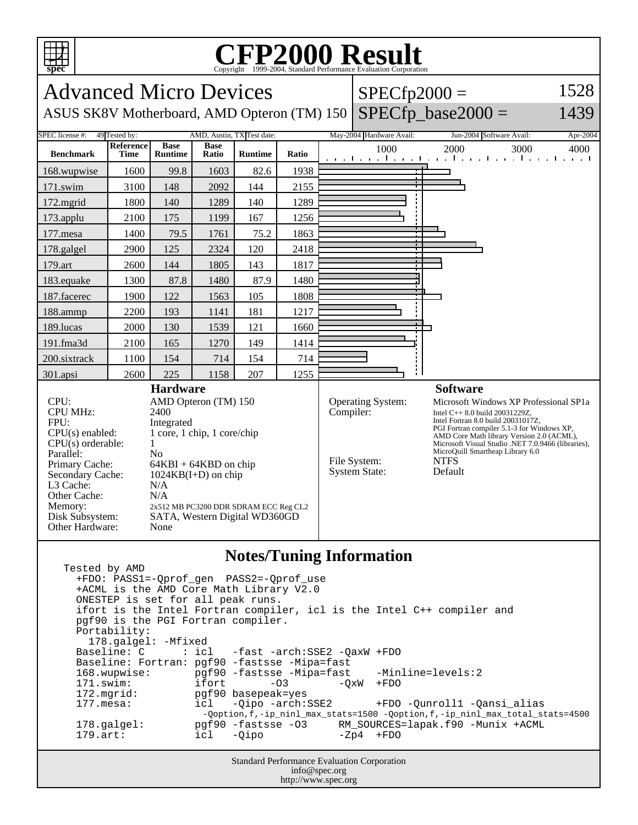

: icl -fast -arch:SSE2 -QaxW +FDO Baseline: Fortran: pgf90 -fastsse -Mipa=fast 168.wupwise: pgf90 -fastsse -Mipa=fast -Minline=levels:2 171.swim: ifort -03 -QxW +FDO 172.mgrid: pgf90 basepeak=yes<br>177.mesa: icl -Oipo -arch:SSE2 +FDO -Qunroll1 -Qansi\_alias -Qoption,f,-ip\_ninl\_max\_stats=1500 -Qoption,f,-ip\_ninl\_max\_total\_stats=4500 178.galgel: pgf90 -fastsse -O3 RM\_SOURCES=lapak.f90 -Munix +ACML<br>179.art: icl -Oipo -Zp4 +FDO 179.art: icl -Qipo -Zp4 +FDO

> Standard Performance Evaluation Corporation info@spec.org http://www.spec.org